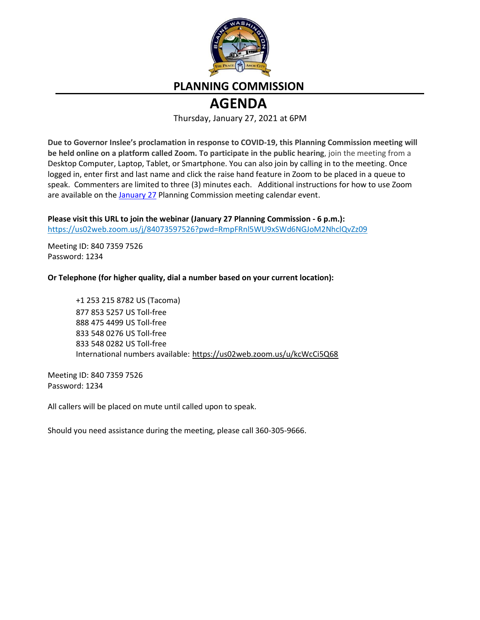

# **PLANNING COMMISSION**

# **AGENDA**

Thursday, January 27, 2021 at 6PM

**Due to Governor Inslee's proclamation in response to COVID-19, this Planning Commission meeting will be held online on a platform called Zoom. To participate in the public hearing**, join the meeting from a Desktop Computer, Laptop, Tablet, or Smartphone. You can also join by calling in to the meeting. Once logged in, enter first and last name and click the raise hand feature in Zoom to be placed in a queue to speak. Commenters are limited to three (3) minutes each. Additional instructions for how to use Zoom are available on th[e January 27](https://www.ci.blaine.wa.us/Calendar.aspx?EID=2515) Planning Commission meeting calendar event.

**Please visit this URL to join the webinar (January 27 Planning Commission - 6 p.m.):** <https://us02web.zoom.us/j/84073597526?pwd=RmpFRnl5WU9xSWd6NGJoM2NhclQvZz09>

Meeting ID: 840 7359 7526 Password: 1234

**Or Telephone (for higher quality, dial a number based on your current location):**

+1 253 215 8782 US (Tacoma) 877 853 5257 US Toll-free 888 475 4499 US Toll-free 833 548 0276 US Toll-free 833 548 0282 US Toll-free International numbers available: <https://us02web.zoom.us/u/kcWcCi5Q68>

Meeting ID: 840 7359 7526 Password: 1234

All callers will be placed on mute until called upon to speak.

Should you need assistance during the meeting, please call 360-305-9666.